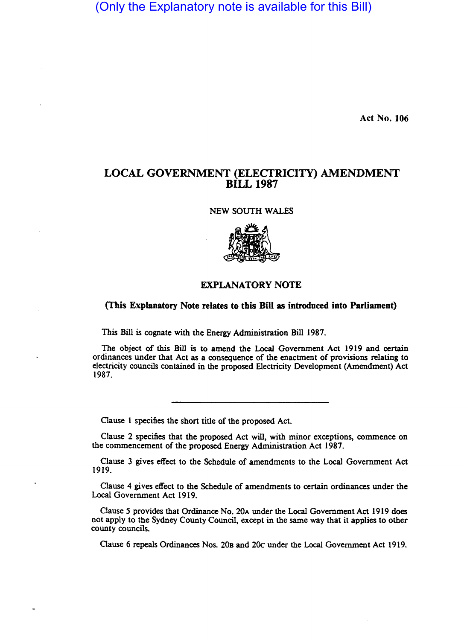(Only the Explanatory note is available for this Bill)

Act No. 106

## LOCAL GOVERNMENT (ELECTRICITY) AMENDMENT BILL 1987

NEW SOUTH WALES



## EXPLANATORY NOTE

(This Explanatory Note relates to this Bill as introduced into Parliament)

This Bill is cognate with the Energy Administration Bill 1987.

The object of this Bill is to amend the Local Government Act 1919 and certain ordinances under that Act as a consequence of the enactment of provisions relating to electricity councils contained in the proposed Electricity Development (Amendment) Act 1987.

Clause 1 specifies the short title of the proposed Act.

Clause 2 specifies that the proposed Act will, with minor exceptions, commence on the commencement of the proposed Energy Administration Act 1987.

Clause 3 gives effect to the Schedule of amendments to the Local Government Act 1919.

Clause 4 gives effect to the Schedule of amendments to certain ordinances under the Local Government Act 1919.

Clause 5 provides that Ordinance No. 20A under the Local Government Act 1919 does not apply to the Sydney County Council, except in the same way that it applies to other county councils.

Clause 6 repeals Ordinances Nos. 20B and 20c under the Local Government Act 1919.